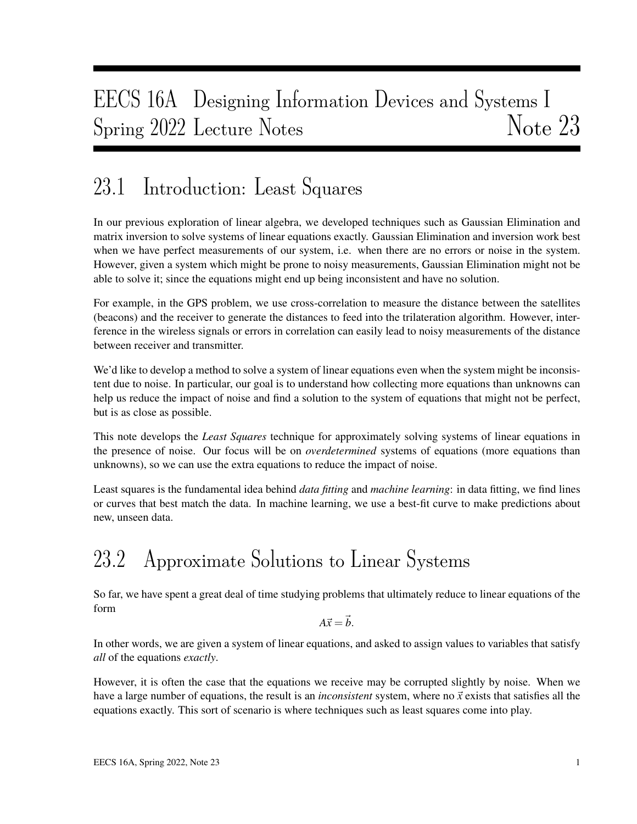# EECS 16A Designing Information Devices and Systems I Spring 2022 Lecture Notes Note 23

## 23.1 Introduction: Least Squares

In our previous exploration of linear algebra, we developed techniques such as Gaussian Elimination and matrix inversion to solve systems of linear equations exactly. Gaussian Elimination and inversion work best when we have perfect measurements of our system, i.e. when there are no errors or noise in the system. However, given a system which might be prone to noisy measurements, Gaussian Elimination might not be able to solve it; since the equations might end up being inconsistent and have no solution.

For example, in the GPS problem, we use cross-correlation to measure the distance between the satellites (beacons) and the receiver to generate the distances to feed into the trilateration algorithm. However, interference in the wireless signals or errors in correlation can easily lead to noisy measurements of the distance between receiver and transmitter.

We'd like to develop a method to solve a system of linear equations even when the system might be inconsistent due to noise. In particular, our goal is to understand how collecting more equations than unknowns can help us reduce the impact of noise and find a solution to the system of equations that might not be perfect, but is as close as possible.

This note develops the *Least Squares* technique for approximately solving systems of linear equations in the presence of noise. Our focus will be on *overdetermined* systems of equations (more equations than unknowns), so we can use the extra equations to reduce the impact of noise.

Least squares is the fundamental idea behind *data fitting* and *machine learning*: in data fitting, we find lines or curves that best match the data. In machine learning, we use a best-fit curve to make predictions about new, unseen data.

# 23.2 Approximate Solutions to Linear Systems

So far, we have spent a great deal of time studying problems that ultimately reduce to linear equations of the form

 $A\vec{x} = \vec{b}$ .

In other words, we are given a system of linear equations, and asked to assign values to variables that satisfy *all* of the equations *exactly*.

However, it is often the case that the equations we receive may be corrupted slightly by noise. When we have a large number of equations, the result is an *inconsistent* system, where no  $\vec{x}$  exists that satisfies all the equations exactly. This sort of scenario is where techniques such as least squares come into play.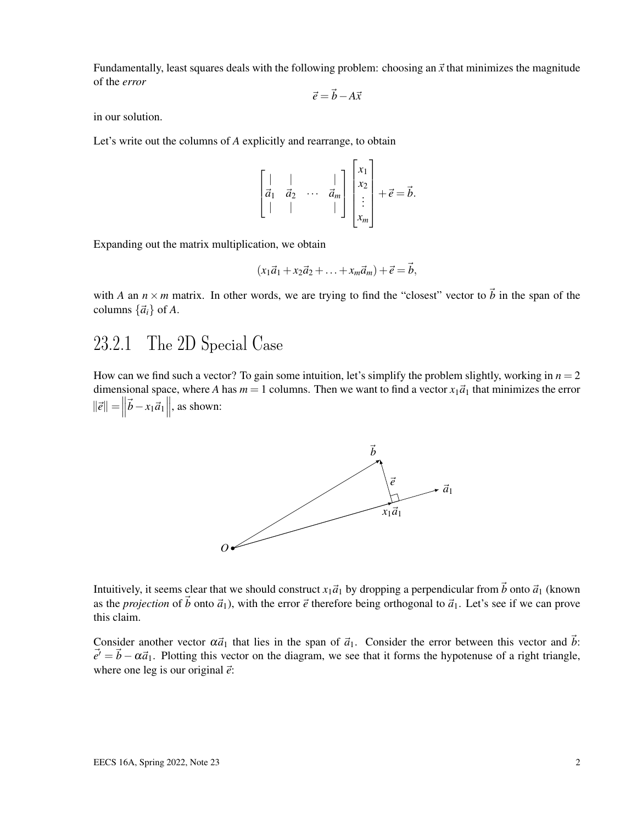Fundamentally, least squares deals with the following problem: choosing an  $\vec{x}$  that minimizes the magnitude of the *error*

$$
\vec{e} = \vec{b} - A\vec{x}
$$

in our solution.

Let's write out the columns of *A* explicitly and rearrange, to obtain

$$
\begin{bmatrix} | & | & & | \\ \vec{a}_1 & \vec{a}_2 & \cdots & \vec{a}_m \\ | & | & & | \end{bmatrix} \begin{bmatrix} x_1 \\ x_2 \\ \vdots \\ x_m \end{bmatrix} + \vec{e} = \vec{b}.
$$

Expanding out the matrix multiplication, we obtain

$$
(x_1\vec{a}_1+x_2\vec{a}_2+\ldots+x_m\vec{a}_m)+\vec{e}=\vec{b},
$$

with *A* an  $n \times m$  matrix. In other words, we are trying to find the "closest" vector to  $\vec{b}$  in the span of the columns  $\{\vec{a}_i\}$  of A.

### 23.2.1 The 2D Special Case

How can we find such a vector? To gain some intuition, let's simplify the problem slightly, working in  $n = 2$ dimensional space, where *A* has  $m = 1$  columns. Then we want to find a vector  $x_1\vec{a}_1$  that minimizes the error  $\|\vec{e}\| = \left\|\vec{b} - x_1\vec{a}_1\right\|$ , as shown:



Intuitively, it seems clear that we should construct  $x_1\vec{a}_1$  by dropping a perpendicular from  $\vec{b}$  onto  $\vec{a}_1$  (known as the *projection* of  $\vec{b}$  onto  $\vec{a}_1$ ), with the error  $\vec{e}$  therefore being orthogonal to  $\vec{a}_1$ . Let's see if we can prove this claim.

Consider another vector  $\alpha \vec{a}_1$  that lies in the span of  $\vec{a}_1$ . Consider the error between this vector and  $\vec{b}$ :  $\vec{e}' = \vec{b} - \alpha \vec{a}_1$ . Plotting this vector on the diagram, we see that it forms the hypotenuse of a right triangle, where one leg is our original  $\vec{e}$ :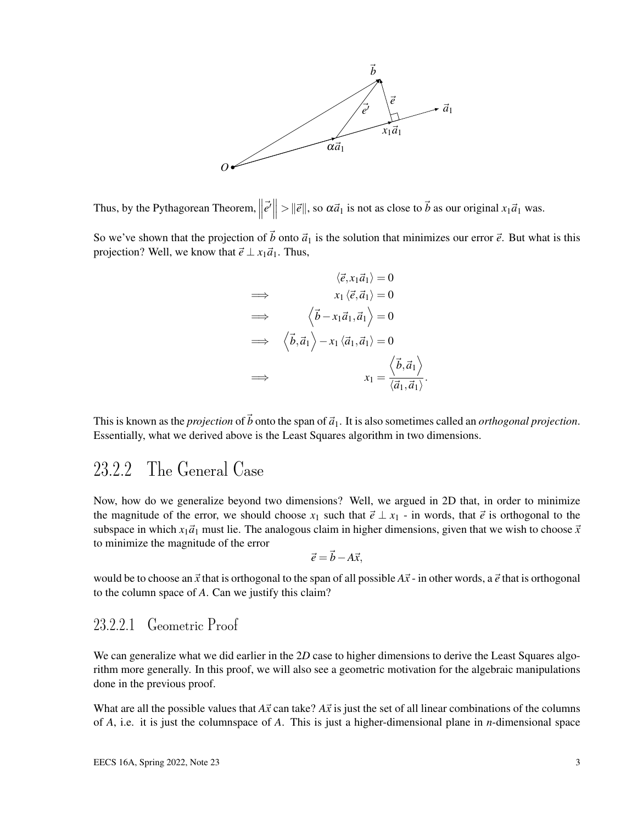

Thus, by the Pythagorean Theorem,  $\parallel$  $\left| \vec{e'} \right| > ||\vec{e}||$ , so  $\alpha \vec{a}_1$  is not as close to  $\vec{b}$  as our original  $x_1 \vec{a}_1$  was.

So we've shown that the projection of  $\vec{b}$  onto  $\vec{a}_1$  is the solution that minimizes our error  $\vec{e}$ . But what is this projection? Well, we know that  $\vec{e} \perp x_1 \vec{a}_1$ . Thus,

$$
\langle \vec{e}, x_1 \vec{a}_1 \rangle = 0
$$
\n
$$
\implies \quad x_1 \langle \vec{e}, \vec{a}_1 \rangle = 0
$$
\n
$$
\implies \quad \langle \vec{b} - x_1 \vec{a}_1, \vec{a}_1 \rangle = 0
$$
\n
$$
\implies \quad \langle \vec{b}, \vec{a}_1 \rangle - x_1 \langle \vec{a}_1, \vec{a}_1 \rangle = 0
$$
\n
$$
\implies \quad x_1 = \frac{\langle \vec{b}, \vec{a}_1 \rangle}{\langle \vec{a}_1, \vec{a}_1 \rangle}
$$

This is known as the *projection* of  $\vec{b}$  onto the span of  $\vec{a}_1$ . It is also sometimes called an *orthogonal projection*. Essentially, what we derived above is the Least Squares algorithm in two dimensions.

.

#### 23.2.2 The General Case

Now, how do we generalize beyond two dimensions? Well, we argued in 2D that, in order to minimize the magnitude of the error, we should choose  $x_1$  such that  $\vec{e} \perp x_1$  - in words, that  $\vec{e}$  is orthogonal to the subspace in which  $x_1\vec{a}_1$  must lie. The analogous claim in higher dimensions, given that we wish to choose  $\vec{x}$ to minimize the magnitude of the error

$$
\vec{e} = \vec{b} - A\vec{x},
$$

would be to choose an  $\vec{x}$  that is orthogonal to the span of all possible  $A\vec{x}$  - in other words, a  $\vec{e}$  that is orthogonal to the column space of *A*. Can we justify this claim?

#### 23.2.2.1 Geometric Proof

We can generalize what we did earlier in the 2*D* case to higher dimensions to derive the Least Squares algorithm more generally. In this proof, we will also see a geometric motivation for the algebraic manipulations done in the previous proof.

What are all the possible values that  $A\vec{x}$  can take?  $A\vec{x}$  is just the set of all linear combinations of the columns of *A*, i.e. it is just the columnspace of *A*. This is just a higher-dimensional plane in *n*-dimensional space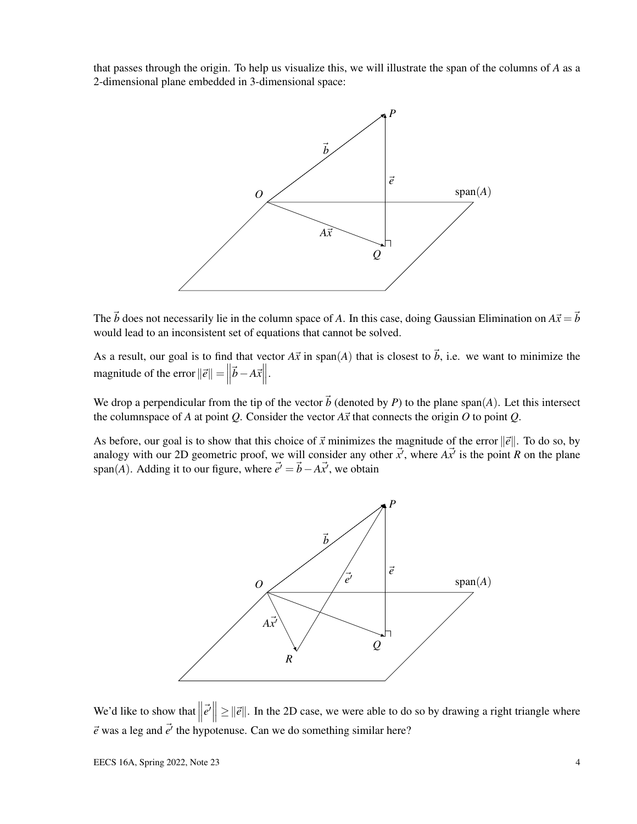that passes through the origin. To help us visualize this, we will illustrate the span of the columns of *A* as a 2-dimensional plane embedded in 3-dimensional space:



The  $\vec{b}$  does not necessarily lie in the column space of *A*. In this case, doing Gaussian Elimination on  $A\vec{x} = \vec{b}$ would lead to an inconsistent set of equations that cannot be solved.

As a result, our goal is to find that vector  $A\vec{x}$  in span(*A*) that is closest to  $\vec{b}$ , i.e. we want to minimize the magnitude of the error  $\|\vec{e}\| = \|\vec{e}\|$  $|\vec{b}-A\vec{x}|$ .

We drop a perpendicular from the tip of the vector  $\vec{b}$  (denoted by *P*) to the plane span(*A*). Let this intersect the columnspace of *A* at point *Q*. Consider the vector  $A\vec{x}$  that connects the origin *O* to point *Q*.

As before, our goal is to show that this choice of  $\vec{x}$  minimizes the magnitude of the error  $\|\vec{e}\|$ . To do so, by analogy with our 2D geometric proof, we will consider any other  $\vec{x'}$ , where  $A\vec{x'}$  is the point *R* on the plane span(*A*). Adding it to our figure, where  $\vec{e'} = \vec{b} - A\vec{x'}$ , we obtain

![](_page_3_Figure_6.jpeg)

We'd like to show that  $\parallel$  $\left| \vec{e}' \right| \geq ||\vec{e}||$ . In the 2D case, we were able to do so by drawing a right triangle where  $\vec{e}$  was a leg and  $\vec{e'}$  the hypotenuse. Can we do something similar here?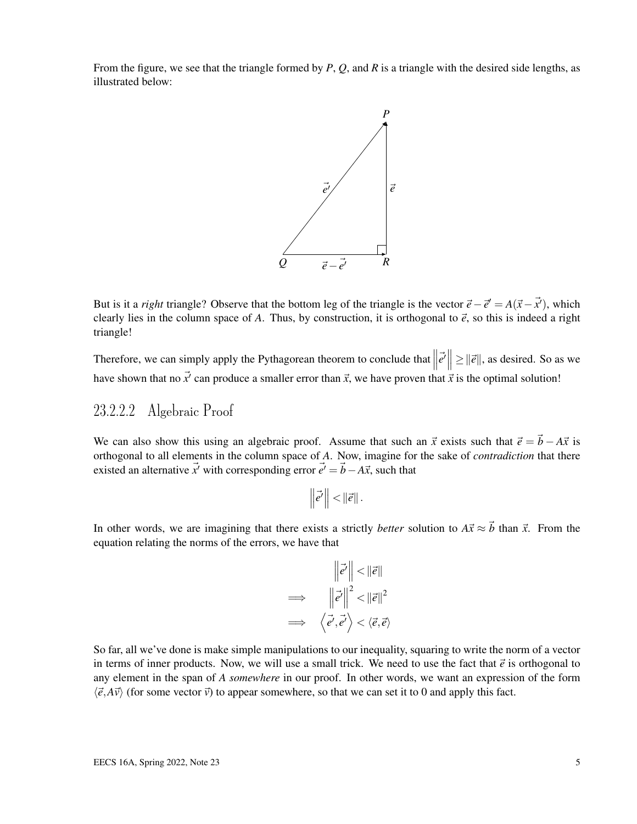From the figure, we see that the triangle formed by *P*, *Q*, and *R* is a triangle with the desired side lengths, as illustrated below:

![](_page_4_Figure_1.jpeg)

But is it a *right* triangle? Observe that the bottom leg of the triangle is the vector  $\vec{e} - \vec{e}' = A(\vec{x} - \vec{x}')$ , which clearly lies in the column space of A. Thus, by construction, it is orthogonal to  $\vec{e}$ , so this is indeed a right triangle!

Therefore, we can simply apply the Pythagorean theorem to conclude that  $\|\vec{e'}\| \ge \|\vec{e}\|$ , as desired. So as we have shown that no  $\vec{x'}$  can produce a smaller error than  $\vec{x}$ , we have proven that  $\vec{x}$  is the optimal solution!

#### 23.2.2.2 Algebraic Proof

We can also show this using an algebraic proof. Assume that such an  $\vec{x}$  exists such that  $\vec{e} = \vec{b} - A\vec{x}$  is orthogonal to all elements in the column space of *A*. Now, imagine for the sake of *contradiction* that there existed an alternative  $\vec{x}'$  with corresponding error  $\vec{e}' = \vec{b} - A\vec{x}$ , such that

$$
\left\|\vec{e'}\right\|<\left\|\vec{e}\right\|.
$$

In other words, we are imagining that there exists a strictly *better* solution to  $A\vec{x} \approx \vec{b}$  than  $\vec{x}$ . From the equation relating the norms of the errors, we have that

$$
\begin{aligned}\n\left\|\vec{e}'\right\| < \left\|\vec{e}\right\| \\
\implies \left\|\vec{e}'\right\|^2 < \left\|\vec{e}\right\|^2 \\
\implies \left\langle \vec{e}', \vec{e}' \right\rangle < \left\langle \vec{e}, \vec{e}\right\rangle\n\end{aligned}
$$

So far, all we've done is make simple manipulations to our inequality, squaring to write the norm of a vector in terms of inner products. Now, we will use a small trick. We need to use the fact that  $\vec{e}$  is orthogonal to any element in the span of *A somewhere* in our proof. In other words, we want an expression of the form  $\langle \vec{e}, A\vec{v} \rangle$  (for some vector  $\vec{v}$ ) to appear somewhere, so that we can set it to 0 and apply this fact.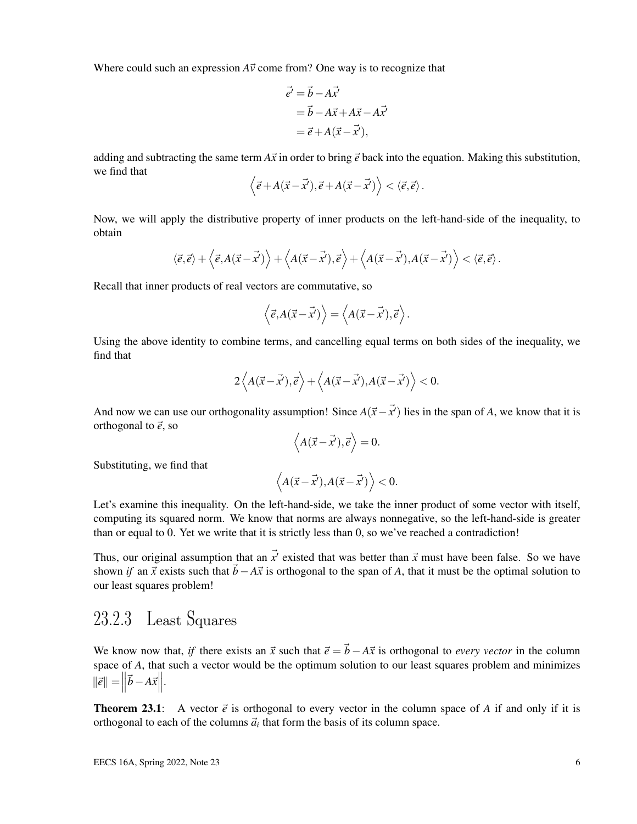Where could such an expression  $A\vec{v}$  come from? One way is to recognize that

$$
\vec{e'} = \vec{b} - A\vec{x'}
$$
  
=  $\vec{b} - A\vec{x} + A\vec{x} - A\vec{x'}$   
=  $\vec{e} + A(\vec{x} - \vec{x'})$ ,

adding and subtracting the same term  $A\vec{x}$  in order to bring  $\vec{e}$  back into the equation. Making this substitution, we find that

$$
\left\langle \vec{e} + A(\vec{x} - \vec{x}'), \vec{e} + A(\vec{x} - \vec{x}') \right\rangle < \left\langle \vec{e}, \vec{e} \right\rangle.
$$

Now, we will apply the distributive property of inner products on the left-hand-side of the inequality, to obtain

$$
\langle \vec{e}, \vec{e} \rangle + \langle \vec{e}, A(\vec{x} - \vec{x'}) \rangle + \langle A(\vec{x} - \vec{x'}), \vec{e} \rangle + \langle A(\vec{x} - \vec{x'}), A(\vec{x} - \vec{x'}) \rangle < \langle \vec{e}, \vec{e} \rangle.
$$

Recall that inner products of real vectors are commutative, so

$$
\langle \vec{e}, A(\vec{x} - \vec{x'}) \rangle = \langle A(\vec{x} - \vec{x'}), \vec{e} \rangle.
$$

Using the above identity to combine terms, and cancelling equal terms on both sides of the inequality, we find that

$$
2\left\langle A(\vec{x}-\vec{x}'),\vec{e}\right\rangle + \left\langle A(\vec{x}-\vec{x}'),A(\vec{x}-\vec{x}')\right\rangle < 0.
$$

And now we can use our orthogonality assumption! Since  $A(\vec{x}-\vec{x}')$  lies in the span of *A*, we know that it is orthogonal to  $\vec{e}$ , so

$$
\langle A(\vec{x} - \vec{x}'), \vec{e} \rangle = 0.
$$

Substituting, we find that

$$
\left\langle A(\vec{x}-\vec{x'}), A(\vec{x}-\vec{x'}) \right\rangle < 0.
$$

Let's examine this inequality. On the left-hand-side, we take the inner product of some vector with itself, computing its squared norm. We know that norms are always nonnegative, so the left-hand-side is greater than or equal to 0. Yet we write that it is strictly less than 0, so we've reached a contradiction!

Thus, our original assumption that an  $\vec{x'}$  existed that was better than  $\vec{x}$  must have been false. So we have shown *if* an  $\vec{x}$  exists such that  $\vec{b}$ −*A* $\vec{x}$  is orthogonal to the span of *A*, that it must be the optimal solution to our least squares problem!

#### 23.2.3 Least Squares

We know now that, *if* there exists an  $\vec{x}$  such that  $\vec{e} = \vec{b} - A\vec{x}$  is orthogonal to *every vector* in the column space of *A*, that such a vector would be the optimum solution to our least squares problem and minimizes  $\|\vec{e}\| = \left\| \right\|$  $|\vec{b} - A\vec{x}|$ .

**Theorem 23.1**: A vector  $\vec{e}$  is orthogonal to every vector in the column space of A if and only if it is orthogonal to each of the columns  $\vec{a}_i$  that form the basis of its column space.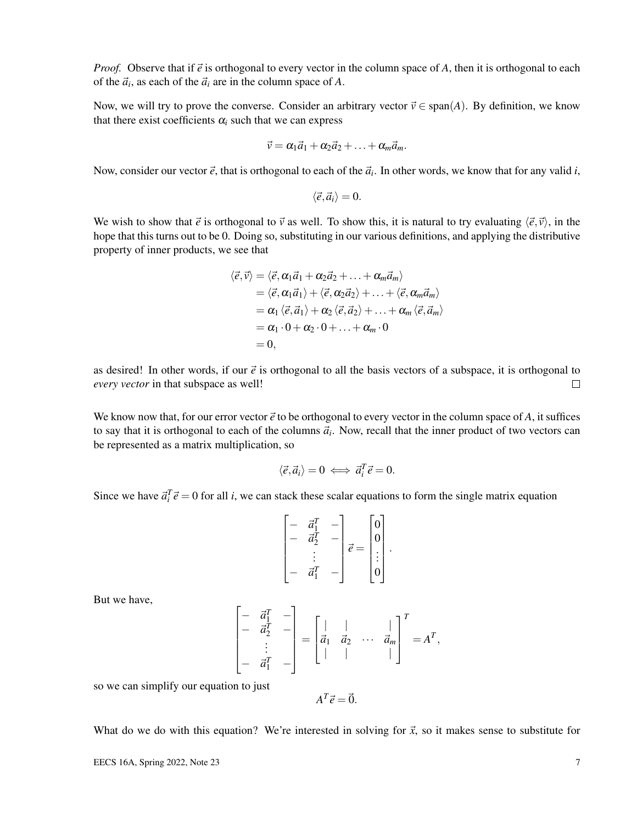*Proof.* Observe that if  $\vec{e}$  is orthogonal to every vector in the column space of *A*, then it is orthogonal to each of the  $\vec{a}_i$ , as each of the  $\vec{a}_i$  are in the column space of *A*.

Now, we will try to prove the converse. Consider an arbitrary vector  $\vec{v} \in \text{span}(A)$ . By definition, we know that there exist coefficients  $\alpha_i$  such that we can express

$$
\vec{v} = \alpha_1 \vec{a}_1 + \alpha_2 \vec{a}_2 + \ldots + \alpha_m \vec{a}_m.
$$

Now, consider our vector  $\vec{e}$ , that is orthogonal to each of the  $\vec{a}_i$ . In other words, we know that for any valid *i*,

$$
\langle \vec{e}, \vec{a}_i \rangle = 0.
$$

We wish to show that  $\vec{e}$  is orthogonal to  $\vec{v}$  as well. To show this, it is natural to try evaluating  $\langle \vec{e}, \vec{v} \rangle$ , in the hope that this turns out to be 0. Doing so, substituting in our various definitions, and applying the distributive property of inner products, we see that

$$
\langle \vec{e}, \vec{v} \rangle = \langle \vec{e}, \alpha_1 \vec{a}_1 + \alpha_2 \vec{a}_2 + \ldots + \alpha_m \vec{a}_m \rangle
$$
  
\n
$$
= \langle \vec{e}, \alpha_1 \vec{a}_1 \rangle + \langle \vec{e}, \alpha_2 \vec{a}_2 \rangle + \ldots + \langle \vec{e}, \alpha_m \vec{a}_m \rangle
$$
  
\n
$$
= \alpha_1 \langle \vec{e}, \vec{a}_1 \rangle + \alpha_2 \langle \vec{e}, \vec{a}_2 \rangle + \ldots + \alpha_m \langle \vec{e}, \vec{a}_m \rangle
$$
  
\n
$$
= \alpha_1 \cdot 0 + \alpha_2 \cdot 0 + \ldots + \alpha_m \cdot 0
$$
  
\n
$$
= 0,
$$

as desired! In other words, if our  $\vec{e}$  is orthogonal to all the basis vectors of a subspace, it is orthogonal to *every vector* in that subspace as well!  $\Box$ 

We know now that, for our error vector  $\vec{e}$  to be orthogonal to every vector in the column space of A, it suffices to say that it is orthogonal to each of the columns  $\vec{a}_i$ . Now, recall that the inner product of two vectors can be represented as a matrix multiplication, so

$$
\langle \vec{e}, \vec{a}_i \rangle = 0 \iff \vec{a}_i^T \vec{e} = 0.
$$

Since we have  $\vec{a}_i^T \vec{e} = 0$  for all *i*, we can stack these scalar equations to form the single matrix equation

$$
\begin{bmatrix} - & \vec{a}_1^T & - \\ - & \vec{a}_2^T & - \\ & \vdots & \vdots \\ - & \vec{a}_1^T & - \end{bmatrix} \vec{e} = \begin{bmatrix} 0 \\ 0 \\ \vdots \\ 0 \end{bmatrix}.
$$

But we have,

$$
\begin{bmatrix} - & \vec{a}_1^T & - \\ - & \vec{a}_2^T & - \\ & \vdots & \\ - & \vec{a}_1^T & - \end{bmatrix} = \begin{bmatrix} | & | & \\ \vec{a}_1 & \vec{a}_2 & \cdots & \vec{a}_m \\ | & | & | & \end{bmatrix}^T = A^T,
$$

so we can simplify our equation to just

 $A^T \vec{e} = \vec{0}.$ 

What do we do with this equation? We're interested in solving for  $\vec{x}$ , so it makes sense to substitute for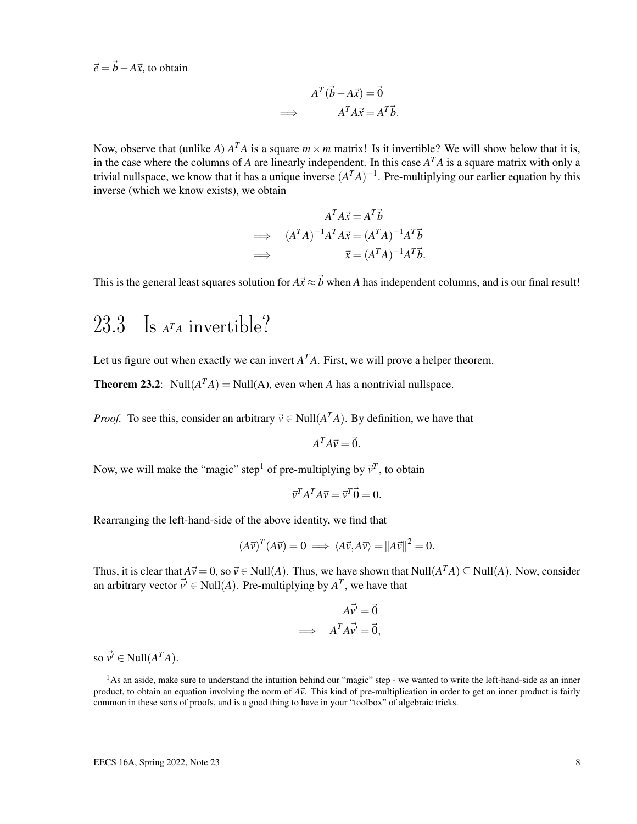$\vec{e} = \vec{b} - A\vec{x}$ , to obtain

$$
A^T(\vec{b} - A\vec{x}) = \vec{0}
$$
  
\n
$$
\implies A^T A \vec{x} = A^T \vec{b}.
$$

Now, observe that (unlike *A*)  $A<sup>T</sup>A$  is a square  $m \times m$  matrix! Is it invertible? We will show below that it is, in the case where the columns of *A* are linearly independent. In this case *A <sup>T</sup>A* is a square matrix with only a trivial nullspace, we know that it has a unique inverse  $(A^T A)^{-1}$ . Pre-multiplying our earlier equation by this inverse (which we know exists), we obtain

$$
A^T A \vec{x} = A^T \vec{b}
$$
  
\n
$$
\implies (A^T A)^{-1} A^T A \vec{x} = (A^T A)^{-1} A^T \vec{b}
$$
  
\n
$$
\implies \vec{x} = (A^T A)^{-1} A^T \vec{b}.
$$

This is the general least squares solution for  $A\vec{x} \approx \vec{b}$  when *A* has independent columns, and is our final result!

### 23.3 Is *<sup>A</sup> <sup>T</sup><sup>A</sup>* invertible?

Let us figure out when exactly we can invert  $A<sup>T</sup>A$ . First, we will prove a helper theorem.

**Theorem 23.2**: Null $(A^T A)$  = Null $(A)$ , even when *A* has a nontrivial nullspace.

*Proof.* To see this, consider an arbitrary  $\vec{v} \in Null(A^{T}A)$ . By definition, we have that

$$
A^T A \vec{v} = \vec{0}.
$$

Now, we will make the "magic" step<sup>1</sup> of pre-multiplying by  $\vec{v}^T$ , to obtain

$$
\vec{v}^T A^T A \vec{v} = \vec{v}^T \vec{0} = 0.
$$

Rearranging the left-hand-side of the above identity, we find that

$$
(A\vec{v})^T (A\vec{v}) = 0 \implies \langle A\vec{v}, A\vec{v} \rangle = ||A\vec{v}||^2 = 0.
$$

Thus, it is clear that  $A\vec{v} = 0$ , so  $\vec{v} \in Null(A)$ . Thus, we have shown that  $Null(A^T A) \subseteq Null(A)$ . Now, consider an arbitrary vector  $\vec{v} \in Null(A)$ . Pre-multiplying by  $A<sup>T</sup>$ , we have that

$$
A\vec{v}' = \vec{0}
$$
  
\n
$$
\implies A^T A \vec{v}' = \vec{0},
$$

so  $\vec{v'} \in Null(A^T A)$ .

 $<sup>1</sup>$ As an aside, make sure to understand the intuition behind our "magic" step - we wanted to write the left-hand-side as an inner</sup> product, to obtain an equation involving the norm of  $A\vec{v}$ . This kind of pre-multiplication in order to get an inner product is fairly common in these sorts of proofs, and is a good thing to have in your "toolbox" of algebraic tricks.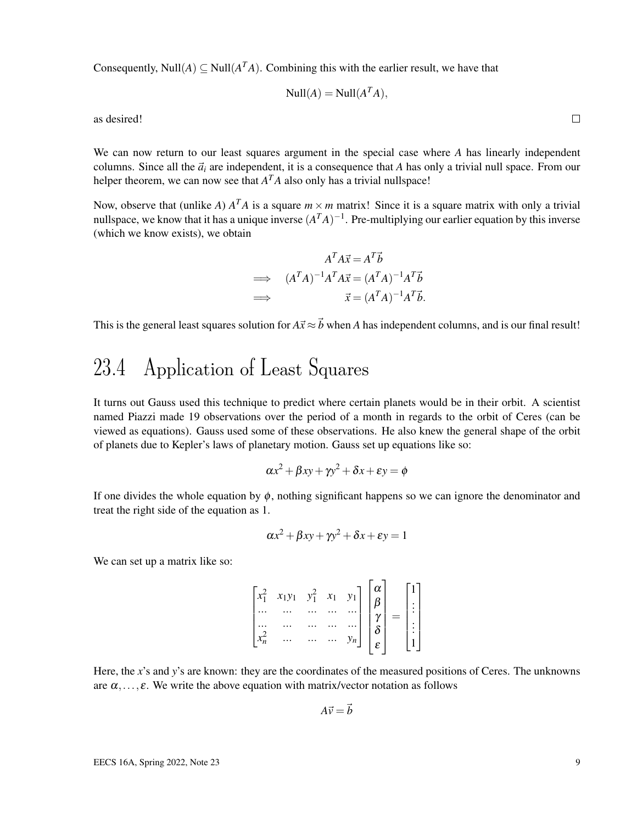Consequently, Null $(A) \subseteq Null(A^T A)$ . Combining this with the earlier result, we have that

$$
\text{Null}(A) = \text{Null}(A^T A),
$$

as desired!

We can now return to our least squares argument in the special case where *A* has linearly independent columns. Since all the  $\vec{a}_i$  are independent, it is a consequence that *A* has only a trivial null space. From our helper theorem, we can now see that  $A<sup>T</sup>A$  also only has a trivial nullspace!

Now, observe that (unlike *A*)  $A<sup>T</sup>A$  is a square  $m \times m$  matrix! Since it is a square matrix with only a trivial nullspace, we know that it has a unique inverse  $(A^T A)^{-1}$ . Pre-multiplying our earlier equation by this inverse (which we know exists), we obtain

$$
A^T A \vec{x} = A^T \vec{b}
$$
  
\n
$$
\implies (A^T A)^{-1} A^T A \vec{x} = (A^T A)^{-1} A^T \vec{b}
$$
  
\n
$$
\implies \vec{x} = (A^T A)^{-1} A^T \vec{b}.
$$

This is the general least squares solution for  $A\vec{x} \approx \vec{b}$  when *A* has independent columns, and is our final result!

## 23.4 Application of Least Squares

It turns out Gauss used this technique to predict where certain planets would be in their orbit. A scientist named Piazzi made 19 observations over the period of a month in regards to the orbit of Ceres (can be viewed as equations). Gauss used some of these observations. He also knew the general shape of the orbit of planets due to Kepler's laws of planetary motion. Gauss set up equations like so:

$$
\alpha x^2 + \beta xy + \gamma y^2 + \delta x + \epsilon y = \phi
$$

If one divides the whole equation by  $\phi$ , nothing significant happens so we can ignore the denominator and treat the right side of the equation as 1.

$$
\alpha x^2 + \beta xy + \gamma y^2 + \delta x + \epsilon y = 1
$$

We can set up a matrix like so:

$$
\begin{bmatrix} x_1^2 & x_1y_1 & y_1^2 & x_1 & y_1 \ \cdots & \cdots & \cdots & \cdots & \cdots \\ \vdots & \vdots & \ddots & \vdots & \ddots & \vdots \\ x_n^2 & \cdots & \cdots & \cdots & y_n \end{bmatrix} \begin{bmatrix} \alpha \\ \beta \\ \gamma \\ \delta \\ \epsilon \end{bmatrix} = \begin{bmatrix} 1 \\ \vdots \\ \vdots \\ 1 \end{bmatrix}
$$

Here, the *x*'s and *y*'s are known: they are the coordinates of the measured positions of Ceres. The unknowns are  $\alpha, \ldots, \varepsilon$ . We write the above equation with matrix/vector notation as follows

$$
A\vec{v} = \vec{b}
$$

 $\Box$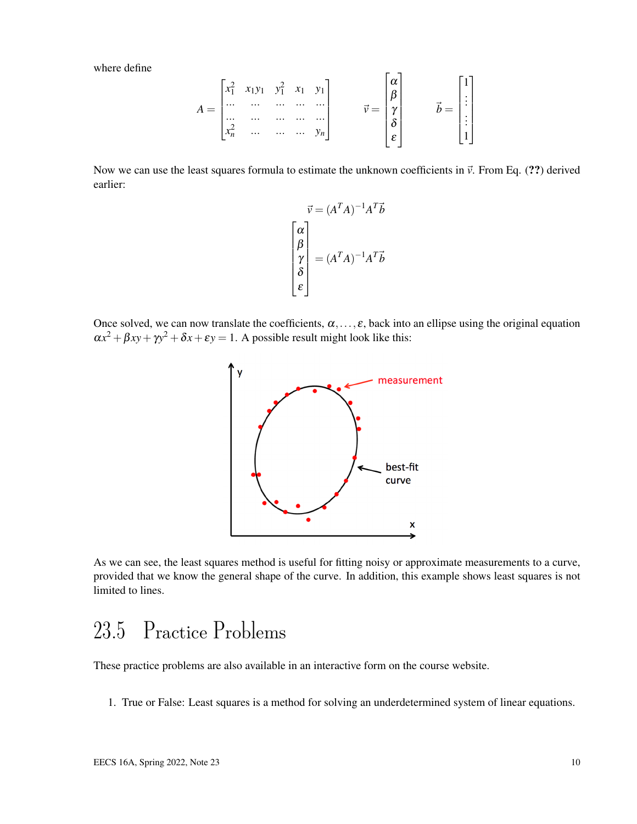where define

$$
A = \begin{bmatrix} x_1^2 & x_1y_1 & y_1^2 & x_1 & y_1 \\ \cdots & \cdots & \cdots & \cdots & \cdots \\ \cdots & \cdots & \cdots & \cdots & \cdots \\ x_n^2 & \cdots & \cdots & \cdots & y_n \end{bmatrix} \qquad \n\vec{v} = \begin{bmatrix} \alpha \\ \beta \\ \gamma \\ \delta \\ \varepsilon \end{bmatrix} \qquad \n\vec{b} = \begin{bmatrix} 1 \\ \vdots \\ \vdots \\ 1 \end{bmatrix}
$$

Now we can use the least squares formula to estimate the unknown coefficients in  $\vec{v}$ . From Eq. (??) derived earlier:

![](_page_9_Figure_3.jpeg)

Once solved, we can now translate the coefficients,  $\alpha, \ldots, \varepsilon$ , back into an ellipse using the original equation  $\alpha x^2 + \beta xy + \gamma y^2 + \delta x + \epsilon y = 1$ . A possible result might look like this:

![](_page_9_Figure_5.jpeg)

As we can see, the least squares method is useful for fitting noisy or approximate measurements to a curve, provided that we know the general shape of the curve. In addition, this example shows least squares is not limited to lines.

### 23.5 Practice Problems

These practice problems are also available in an interactive form on the course website.

1. True or False: Least squares is a method for solving an underdetermined system of linear equations.